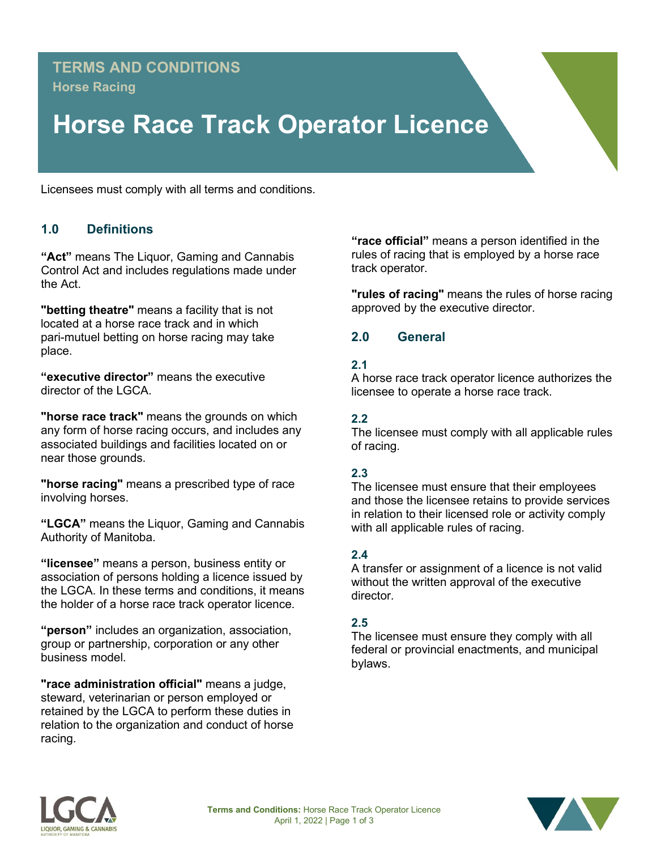## **TERMS AND CONDITIONS Horse Racing**

# **Horse Race Track Operator Licence**

Licensees must comply with all terms and conditions.

## **1.0 Definitions**

**"Act"** means The Liquor, Gaming and Cannabis Control Act and includes regulations made under the Act.

**"betting theatre"** means a facility that is not located at a horse race track and in which pari-mutuel betting on horse racing may take place.

**"executive director"** means the executive director of the LGCA.

**"horse race track"** means the grounds on which any form of horse racing occurs, and includes any associated buildings and facilities located on or near those grounds.

**"horse racing"** means a prescribed type of race involving horses.

**"LGCA"** means the Liquor, Gaming and Cannabis Authority of Manitoba.

**"licensee"** means a person, business entity or association of persons holding a licence issued by the LGCA. In these terms and conditions, it means the holder of a horse race track operator licence.

**"person"** includes an organization, association, group or partnership, corporation or any other business model.

**"race administration official"** means a judge, steward, veterinarian or person employed or retained by the LGCA to perform these duties in relation to the organization and conduct of horse racing.

**"race official"** means a person identified in the rules of racing that is employed by a horse race track operator.

**"rules of racing"** means the rules of horse racing approved by the executive director.

## **2.0 General**

#### **2.1**

A horse race track operator licence authorizes the licensee to operate a horse race track.

#### **2.2**

The licensee must comply with all applicable rules of racing.

#### **2.3**

The licensee must ensure that their employees and those the licensee retains to provide services in relation to their licensed role or activity comply with all applicable rules of racing.

#### **2.4**

A transfer or assignment of a licence is not valid without the written approval of the executive director.

#### **2.5**

The licensee must ensure they comply with all federal or provincial enactments, and municipal bylaws.



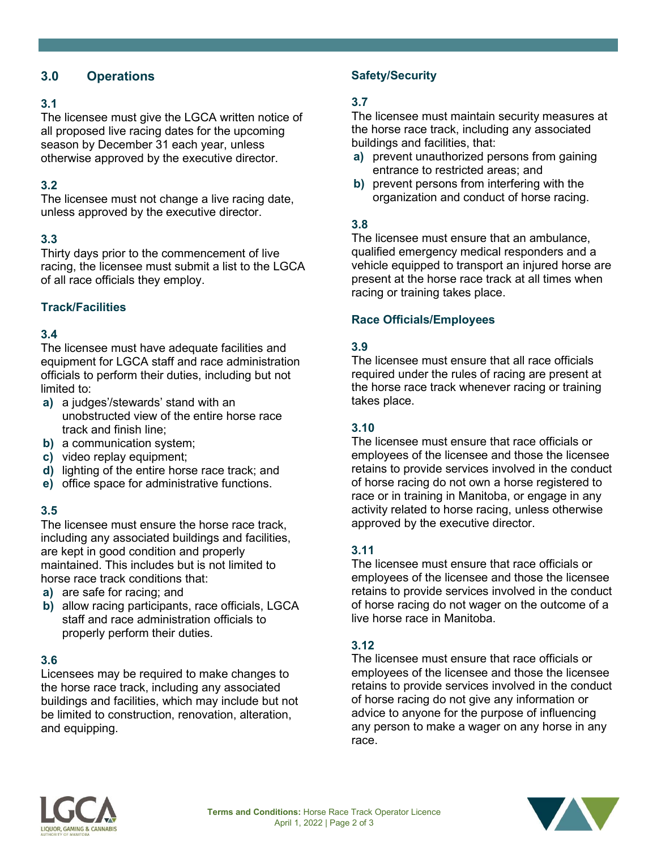## **3.0 Operations**

#### **3.1**

The licensee must give the LGCA written notice of all proposed live racing dates for the upcoming season by December 31 each year, unless otherwise approved by the executive director.

## **3.2**

The licensee must not change a live racing date, unless approved by the executive director.

#### **3.3**

Thirty days prior to the commencement of live racing, the licensee must submit a list to the LGCA of all race officials they employ.

## **Track/Facilities**

## **3.4**

The licensee must have adequate facilities and equipment for LGCA staff and race administration officials to perform their duties, including but not limited to:

- **a)** a judges'/stewards' stand with an unobstructed view of the entire horse race track and finish line;
- **b)** a communication system;
- **c)** video replay equipment;
- **d)** lighting of the entire horse race track; and
- **e)** office space for administrative functions.

## **3.5**

The licensee must ensure the horse race track, including any associated buildings and facilities, are kept in good condition and properly maintained. This includes but is not limited to horse race track conditions that:

- **a)** are safe for racing; and
- **b)** allow racing participants, race officials, LGCA staff and race administration officials to properly perform their duties.

#### **3.6**

Licensees may be required to make changes to the horse race track, including any associated buildings and facilities, which may include but not be limited to construction, renovation, alteration, and equipping.

## **Safety/Security**

#### **3.7**

The licensee must maintain security measures at the horse race track, including any associated buildings and facilities, that:

- **a)** prevent unauthorized persons from gaining entrance to restricted areas; and
- **b)** prevent persons from interfering with the organization and conduct of horse racing.

#### **3.8**

The licensee must ensure that an ambulance, qualified emergency medical responders and a vehicle equipped to transport an injured horse are present at the horse race track at all times when racing or training takes place.

#### **Race Officials/Employees**

#### **3.9**

The licensee must ensure that all race officials required under the rules of racing are present at the horse race track whenever racing or training takes place.

#### **3.10**

The licensee must ensure that race officials or employees of the licensee and those the licensee retains to provide services involved in the conduct of horse racing do not own a horse registered to race or in training in Manitoba, or engage in any activity related to horse racing, unless otherwise approved by the executive director.

#### **3.11**

The licensee must ensure that race officials or employees of the licensee and those the licensee retains to provide services involved in the conduct of horse racing do not wager on the outcome of a live horse race in Manitoba.

#### **3.12**

The licensee must ensure that race officials or employees of the licensee and those the licensee retains to provide services involved in the conduct of horse racing do not give any information or advice to anyone for the purpose of influencing any person to make a wager on any horse in any race.